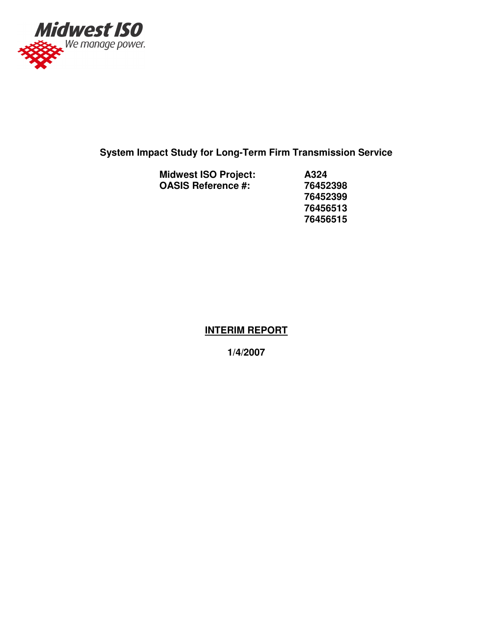

## **System Impact Study for Long-Term Firm Transmission Service**

| <b>Midwest ISO Project:</b> | A324  |
|-----------------------------|-------|
| <b>OASIS Reference #:</b>   | 76452 |
|                             | 76452 |
|                             | 76456 |
|                             |       |

**OASIS Reference #: 76452398 76452399 76456513 76456515**

#### **INTERIM REPORT**

**1/4/2007**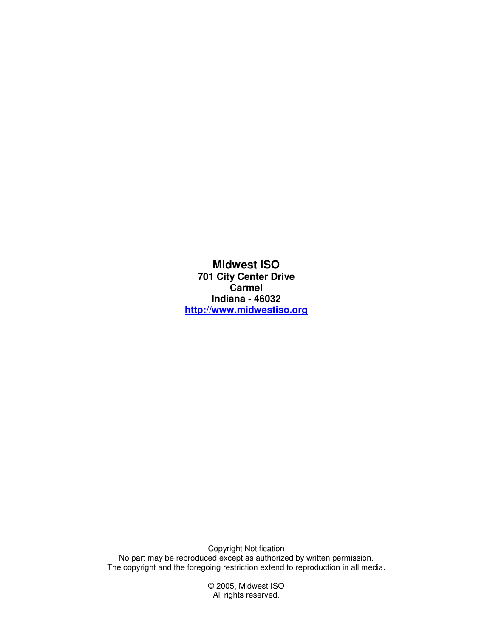**Midwest ISO 701 City Center Drive Carmel Indiana - 46032 http://www.midwestiso.org**

Copyright Notification No part may be reproduced except as authorized by written permission. The copyright and the foregoing restriction extend to reproduction in all media.

> © 2005, Midwest ISO All rights reserved.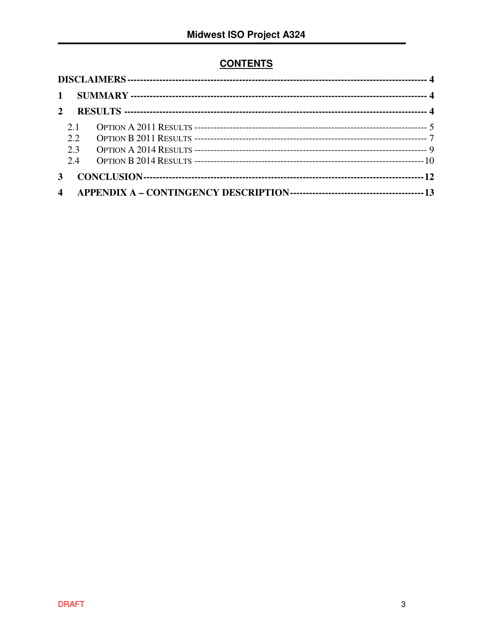### **CONTENTS**

| $\mathbf{1}$ |      |  |
|--------------|------|--|
|              |      |  |
|              | 2.1  |  |
|              | 2.2. |  |
|              | 23   |  |
|              | 2.4  |  |
|              |      |  |
|              |      |  |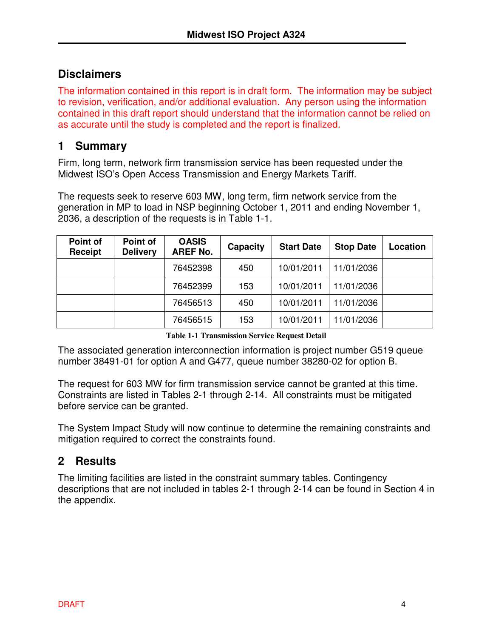## **Disclaimers**

The information contained in this report is in draft form. The information may be subject to revision, verification, and/or additional evaluation. Any person using the information contained in this draft report should understand that the information cannot be relied on as accurate until the study is completed and the report is finalized.

### **1 Summary**

Firm, long term, network firm transmission service has been requested under the Midwest ISO's Open Access Transmission and Energy Markets Tariff.

The requests seek to reserve 603 MW, long term, firm network service from the generation in MP to load in NSP beginning October 1, 2011 and ending November 1, 2036, a description of the requests is in Table 1-1.

| Point of<br>Receipt | Point of<br><b>Delivery</b> | <b>OASIS</b><br><b>AREF No.</b> | Capacity | <b>Start Date</b> | <b>Stop Date</b> | Location |
|---------------------|-----------------------------|---------------------------------|----------|-------------------|------------------|----------|
|                     |                             | 76452398                        | 450      | 10/01/2011        | 11/01/2036       |          |
|                     |                             | 76452399                        | 153      | 10/01/2011        | 11/01/2036       |          |
|                     |                             | 76456513                        | 450      | 10/01/2011        | 11/01/2036       |          |
|                     |                             | 76456515                        | 153      | 10/01/2011        | 11/01/2036       |          |

**Table 1-1 Transmission Service Request Detail**

The associated generation interconnection information is project number G519 queue number 38491-01 for option A and G477, queue number 38280-02 for option B.

The request for 603 MW for firm transmission service cannot be granted at this time. Constraints are listed in Tables 2-1 through 2-14. All constraints must be mitigated before service can be granted.

The System Impact Study will now continue to determine the remaining constraints and mitigation required to correct the constraints found.

# **2 Results**

The limiting facilities are listed in the constraint summary tables. Contingency descriptions that are not included in tables 2-1 through 2-14 can be found in Section 4 in the appendix.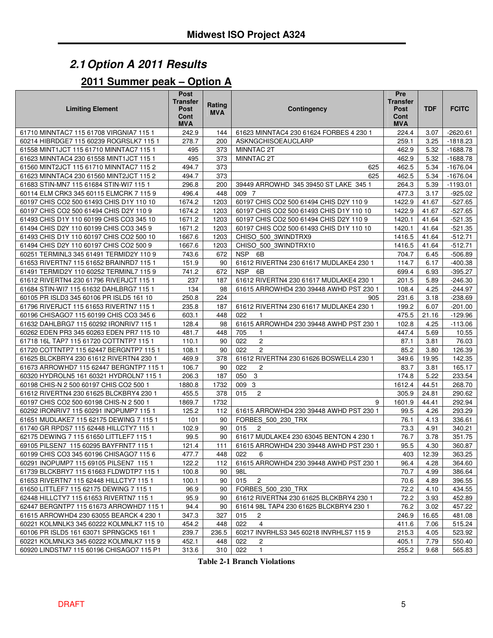# *2.1Option A 2011 Results*

# **Summer peak – Option A**

| <b>Limiting Element</b>                  | <b>Post</b><br><b>Transfer</b><br>Post<br>Cont<br><b>MVA</b> | Rating<br><b>MVA</b> | <b>Contingency</b>                       | Pre<br>Transfer<br>Post<br>Cont<br><b>MVA</b> | <b>TDF</b> | <b>FCITC</b> |
|------------------------------------------|--------------------------------------------------------------|----------------------|------------------------------------------|-----------------------------------------------|------------|--------------|
| 61710 MINNTAC7 115 61708 VIRGNIA7 115 1  | 242.9                                                        | 144                  | 61623 MINNTAC4 230 61624 FORBES 4 230 1  | 224.4                                         | 3.07       | $-2620.61$   |
| 60214 HIBRDGE7 115 60239 ROGRSLK7 115 1  | 278.7                                                        | 200                  | ASKNGCHISOEAUCLARP                       | 259.1                                         | 3.25       | $-1818.23$   |
| 61558 MINT1JCT 115 61710 MINNTAC7 115 1  | 495                                                          | 373                  | MINNTAC 2T                               | 462.9                                         | 5.32       | $-1688.78$   |
| 61623 MINNTAC4 230 61558 MINT1JCT 115 1  | 495                                                          | 373                  | MINNTAC 2T                               | 462.9                                         | 5.32       | $-1688.78$   |
| 61560 MINT2JCT 115 61710 MINNTAC7 115 2  | 494.7                                                        | 373                  | 625                                      | 462.5                                         | 5.34       | $-1676.04$   |
| 61623 MINNTAC4 230 61560 MINT2JCT 115 2  | 494.7                                                        | 373                  | 625                                      | 462.5                                         | 5.34       | $-1676.04$   |
| 61683 STIN-MN7 115 61684 STIN-WI7 115 1  | 296.8                                                        | 200                  | 39449 ARROWHD 345 39450 ST LAKE 345 1    | 264.3                                         | 5.39       | $-1193.01$   |
| 60114 ELM CRK3 345 60115 ELMCRK 7 115 9  | 496.4                                                        | 448                  | 009 7                                    | 477.3                                         | 3.17       | $-925.02$    |
| 60197 CHIS CO2 500 61493 CHIS D1Y 110 10 | 1674.2                                                       | 1203                 | 60197 CHIS CO2 500 61494 CHIS D2Y 110 9  | 1422.9                                        | 41.67      | $-527.65$    |
| 60197 CHIS CO2 500 61494 CHIS D2Y 110 9  | 1674.2                                                       | 1203                 | 60197 CHIS CO2 500 61493 CHIS D1Y 110 10 | 1422.9                                        | 41.67      | $-527.65$    |
| 61493 CHIS D1Y 110 60199 CHIS CO3 345 10 | 1671.2                                                       | 1203                 | 60197 CHIS CO2 500 61494 CHIS D2Y 110 9  | 1420.1                                        | 41.64      | $-521.35$    |
| 61494 CHIS D2Y 110 60199 CHIS CO3 345 9  | 1671.2                                                       | 1203                 | 60197 CHIS CO2 500 61493 CHIS D1Y 110 10 | 1420.1                                        | 41.64      | $-521.35$    |
| 61493 CHIS D1Y 110 60197 CHIS CO2 500 10 | 1667.6                                                       | 1203                 | CHISO_500_3WINDTRX9                      | 1416.5                                        | 41.64      | $-512.71$    |
| 61494 CHIS D2Y 110 60197 CHIS CO2 500 9  | 1667.6                                                       | 1203                 | CHISO 500 3WINDTRX10                     | 1416.5                                        | 41.64      | $-512.71$    |
| 60251 TERMINL3 345 61491 TERMID2Y 110 9  | 743.6                                                        | 672                  | <b>NSP</b><br>6B                         | 704.7                                         | 6.45       | $-506.89$    |
| 61653 RIVERTN7 115 61652 BRAINRD7 115 1  | 151.9                                                        | 90                   | 61612 RIVERTN4 230 61617 MUDLAKE4 230 1  | 114.7                                         | 6.17       | $-400.38$    |
| 61491 TERMID2Y 110 60252 TERMINL7 115 9  | 741.2                                                        | 672                  | NSP 6B                                   | 699.4                                         | 6.93       | $-395.27$    |
| 61612 RIVERTN4 230 61796 RIVERJCT 115 1  | 237                                                          | 187                  | 61612 RIVERTN4 230 61617 MUDLAKE4 230 1  | 201.5                                         | 5.89       | $-246.30$    |
| 61684 STIN-WI7 115 61632 DAHLBRG7 115 1  | 134                                                          | 98                   | 61615 ARROWHD4 230 39448 AWHD PST 230 1  | 108.4                                         | 4.25       | -244.97      |
| 60105 PR ISLD3 345 60106 PR ISLD5 161 10 | 250.8                                                        | 224                  | 905                                      | 231.6                                         | 3.18       | $-238.69$    |
| 61796 RIVERJCT 115 61653 RIVERTN7 115 1  | 235.8                                                        | 187                  | 61612 RIVERTN4 230 61617 MUDLAKE4 230 1  | 199.2                                         | 6.07       | $-201.00$    |
| 60196 CHISAGO7 115 60199 CHIS CO3 345 6  | 603.1                                                        | 448                  | 022                                      | 475.5                                         | 21.16      | $-129.96$    |
| 61632 DAHLBRG7 115 60292 IRONRIV7 115 1  | 128.4                                                        | 98                   | 61615 ARROWHD4 230 39448 AWHD PST 230 1  | 102.8                                         | 4.25       | $-113.06$    |
| 60262 EDEN PR3 345 60263 EDEN PR7 115 10 | 481.7                                                        | 448                  | 705<br>1                                 | 447.4                                         | 5.69       | 10.55        |
| 61718 16L TAP7 115 61720 COTTNTP7 115 1  | 110.1                                                        | 90                   | $\mathbf{2}^{\prime}$<br>022             | 87.1                                          | 3.81       | 76.03        |
| 61720 COTTNTP7 115 62447 BERGNTP7 115 1  | 108.1                                                        | 90                   | 2<br>022                                 | 85.2                                          | 3.80       | 126.39       |
| 61625 BLCKBRY4 230 61612 RIVERTN4 230 1  | 469.9                                                        | 378                  | 61612 RIVERTN4 230 61626 BOSWELL4 230 1  | 349.6                                         | 19.95      | 142.35       |
| 61673 ARROWHD7 115 62447 BERGNTP7 115 1  | 106.7                                                        | 90                   | 022<br>$\overline{c}$                    | 83.7                                          | 3.81       | 165.17       |
| 60320 HYDROLN5 161 60321 HYDROLN7 115 1  | 206.3                                                        | 187                  | $\mathbf{3}$<br>050                      | 174.8                                         | 5.22       | 233.54       |
| 60198 CHIS-N 2 500 60197 CHIS CO2 500 1  | 1880.8                                                       | 1732                 | 009 3                                    | 1612.4                                        | 44.51      | 268.70       |
| 61612 RIVERTN4 230 61625 BLCKBRY4 230 1  | 455.5                                                        | 378                  | $\overline{c}$<br>015                    | 305.9                                         | 24.81      | 290.62       |
| 60197 CHIS CO2 500 60198 CHIS-N 2 500 1  | 1869.7                                                       | 1732                 | 9                                        | 1601.9                                        | 44.41      | 292.94       |
| 60292 IRONRIV7 115 60291 INOPUMP7 115 1  | 125.2                                                        | 112                  | 61615 ARROWHD4 230 39448 AWHD PST 230 1  | 99.5                                          | 4.26       | 293.29       |
| 61651 MUDLAKE7 115 62175 DEWING 7 115 1  | 101                                                          | 90                   | FORBES 500 230 TRX                       | 76.1                                          | 4.13       | 336.61       |
| 61740 GR RPDS7 115 62448 HILLCTY7 115 1  | 102.9                                                        | 90                   | 015<br>$\overline{c}$                    | 73.3                                          | 4.91       | 340.21       |
| 62175 DEWING 7 115 61650 LITTLEF7 115 1  | 99.5                                                         | 90                   | 61617 MUDLAKE4 230 63045 BENTON 4 230 1  | 76.7                                          | 3.78       | 351.75       |
| 69105 PILSEN7 115 60295 BAYFRNT7 115 1   | 121.4                                                        | 111                  | 61615 ARROWHD4 230 39448 AWHD PST 230 1  | 95.5                                          | 4.30       | 360.87       |
| 60199 CHIS CO3 345 60196 CHISAGO7 115 6  | 477.7                                                        | 448                  | 022<br>6                                 | 403                                           | 12.39      | 363.25       |
| 60291 INOPUMP7 115 69105 PILSEN7 115 1   | 122.2                                                        | 112                  | 61615 ARROWHD4 230 39448 AWHD PST 230 1  | 96.4                                          | 4.28       | 364.60       |
| 61739 BLCKBRY7 115 61663 FLDWDTP7 115 1  | 100.8                                                        | 90                   | 98L                                      | 70.7                                          | 4.99       | 386.64       |
| 61653 RIVERTN7 115 62448 HILLCTY7 115 1  | 100.1                                                        | 90                   | 015<br>$\overline{2}$                    | 70.6                                          | 4.89       | 396.55       |
| 61650 LITTLEF7 115 62175 DEWING 7 115 1  | 96.9                                                         | 90                   | FORBES 500 230 TRX                       | 72.2                                          | 4.10       | 434.55       |
| 62448 HILLCTY7 115 61653 RIVERTN7 115 1  | 95.9                                                         | 90                   | 61612 RIVERTN4 230 61625 BLCKBRY4 230 1  | 72.2                                          | 3.93       | 452.89       |
| 62447 BERGNTP7 115 61673 ARROWHD7 115 1  | 94.4                                                         | 90                   | 61614 98L TAP4 230 61625 BLCKBRY4 230 1  | 76.2                                          | 3.02       | 457.22       |
| 61615 ARROWHD4 230 63055 BEARCK 4 230 1  | 347.3                                                        | 327                  | 015<br>2                                 | 246.9                                         | 16.65      | 481.08       |
| 60221 KOLMNLK3 345 60222 KOLMNLK7 115 10 | 454.2                                                        | 448                  | $\overline{4}$<br>022                    | 411.6                                         | 7.06       | 515.24       |
| 60106 PR ISLD5 161 63071 SPRNGCK5 161 1  | 239.7                                                        | 236.5                | 60217 INVRHLS3 345 60218 INVRHLS7 115 9  | 215.3                                         | 4.05       | 523.92       |
| 60221 KOLMNLK3 345 60222 KOLMNLK7 115 9  | 452.1                                                        | 448                  | 022<br>2                                 | 405.1                                         | 7.79       | 550.40       |
| 60920 LINDSTM7 115 60196 CHISAGO7 115 P1 | 313.6                                                        | 310                  | 022<br>$\mathbf{1}$                      | 255.2                                         | 9.68       | 565.83       |

**Table 2-1 Branch Violations**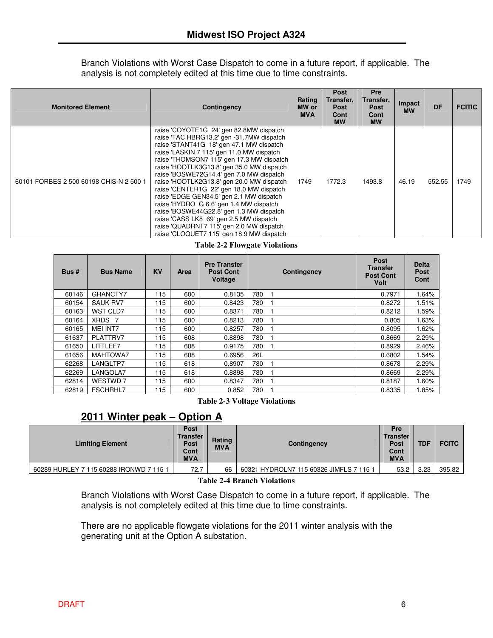Branch Violations with Worst Case Dispatch to come in a future report, if applicable. The analysis is not completely edited at this time due to time constraints.

| <b>Monitored Element</b>                | Contingency                                                                                                                                                                                                                                                                                                                                                                                                                                                                                                                                                                                                                                                                         | Rating<br>MW or<br><b>MVA</b> | Post<br>Transfer,<br><b>Post</b><br>Cont<br><b>MW</b> | <b>Pre</b><br>Transfer,<br><b>Post</b><br>Cont<br><b>MW</b> | Impact<br><b>MW</b> | <b>DF</b> | <b>FCITIC</b> |
|-----------------------------------------|-------------------------------------------------------------------------------------------------------------------------------------------------------------------------------------------------------------------------------------------------------------------------------------------------------------------------------------------------------------------------------------------------------------------------------------------------------------------------------------------------------------------------------------------------------------------------------------------------------------------------------------------------------------------------------------|-------------------------------|-------------------------------------------------------|-------------------------------------------------------------|---------------------|-----------|---------------|
| 60101 FORBES 2 500 60198 CHIS-N 2 500 1 | raise 'COYOTE1G 24' gen 82.8MW dispatch<br>raise 'TAC HBRG13.2' gen -31.7MW dispatch<br>raise 'STANT41G 18' gen 47.1 MW dispatch<br>raise 'LASKIN 7 115' gen 11.0 MW dispatch<br>raise 'THOMSON7 115' gen 17.3 MW dispatch<br>raise 'HOOTLK3G13.8' gen 35.0 MW dispatch<br>raise 'BOSWE72G14.4' gen 7.0 MW dispatch<br>raise 'HOOTLK2G13.8' gen 20.0 MW dispatch<br>raise 'CENTER1G 22' gen 18.0 MW dispatch<br>raise 'EDGE GEN34.5' gen 2.1 MW dispatch<br>raise 'HYDRO G 6.6' gen 1.4 MW dispatch<br>raise 'BOSWE44G22.8' gen 1.3 MW dispatch<br>raise 'CASS LK8 69' gen 2.5 MW dispatch<br>raise 'QUADRNT7 115' gen 2.0 MW dispatch<br>raise 'CLOQUET7 115' gen 18.9 MW dispatch | 1749                          | 1772.3                                                | 1493.8                                                      | 46.19               | 552.55    | 1749          |

|  |  |  | <b>Table 2-2 Flowgate Violations</b> |
|--|--|--|--------------------------------------|
|--|--|--|--------------------------------------|

| <b>Bus</b> # | <b>Bus Name</b>               | <b>KV</b> | Area | <b>Pre Transfer</b><br><b>Post Cont</b><br>Voltage | Contingency | Post<br>Transfer<br><b>Post Cont</b><br><b>Volt</b> | <b>Delta</b><br>Post<br>Cont |
|--------------|-------------------------------|-----------|------|----------------------------------------------------|-------------|-----------------------------------------------------|------------------------------|
| 60146        | GRANCTY7                      | 115       | 600  | 0.8135                                             | 780         | 0.7971                                              | 1.64%                        |
| 60154        | <b>SAUK RV7</b>               | 115       | 600  | 0.8423                                             | 780         | 0.8272                                              | 1.51%                        |
| 60163        | <b>WST CLD7</b>               | 115       | 600  | 0.8371                                             | 780         | 0.8212                                              | 1.59%                        |
| 60164        | <b>XRDS</b><br>$\overline{7}$ | 115       | 600  | 0.8213                                             | 780         | 0.805                                               | 1.63%                        |
| 60165        | <b>MEI INT7</b>               | 115       | 600  | 0.8257                                             | 780         | 0.8095                                              | 1.62%                        |
| 61637        | PLATTRV7                      | 115       | 608  | 0.8898                                             | 780         | 0.8669                                              | 2.29%                        |
| 61650        | LITTLEF7                      | 115       | 608  | 0.9175                                             | 780         | 0.8929                                              | 2.46%                        |
| 61656        | MAHTOWA7                      | 115       | 608  | 0.6956                                             | 26L         | 0.6802                                              | 1.54%                        |
| 62268        | LANGLTP7                      | 115       | 618  | 0.8907                                             | 780         | 0.8678                                              | 2.29%                        |
| 62269        | LANGOLA7                      | 115       | 618  | 0.8898                                             | 780         | 0.8669                                              | 2.29%                        |
| 62814        | WESTWD 7                      | 115       | 600  | 0.8347                                             | 780         | 0.8187                                              | 1.60%                        |
| 62819        | <b>FSCHRHL7</b>               | 115       | 600  | 0.852                                              | 780         | 0.8335                                              | 1.85%                        |

**Table 2-3 Voltage Violations**

#### **2011 Winter peak – Option A**

| <b>Limiting Element</b>                 | <b>Post</b><br><b>Transfer</b><br><b>Post</b><br>Cont<br><b>MVA</b> | Rating<br><b>MVA</b> | Contingency                             | Pre<br><b>Transfer</b><br><b>Post</b><br>Cont<br><b>MVA</b> | <b>TDF</b> | <b>FCITC</b> |
|-----------------------------------------|---------------------------------------------------------------------|----------------------|-----------------------------------------|-------------------------------------------------------------|------------|--------------|
| 60289 HURLEY 7 115 60288 IRONWD 7 115 1 | 72.7                                                                | 66                   | 60321 HYDROLN7 115 60326 JIMFLS 7 115 1 | 53.2                                                        | 3.23       | 395.82       |
|                                         |                                                                     |                      |                                         |                                                             |            |              |

#### **Table 2-4 Branch Violations**

Branch Violations with Worst Case Dispatch to come in a future report, if applicable. The analysis is not completely edited at this time due to time constraints.

There are no applicable flowgate violations for the 2011 winter analysis with the generating unit at the Option A substation.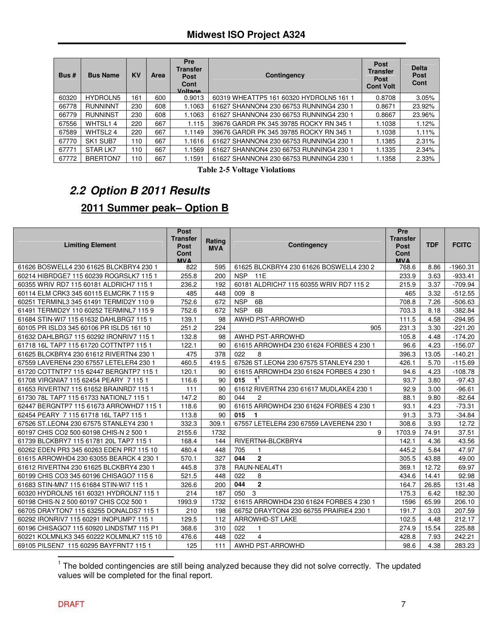| Bus#  | <b>Bus Name</b>                  | <b>KV</b> | Area | <b>Pre</b><br><b>Transfer</b><br><b>Post</b><br>Cont<br>Voltage | Contingency                             | <b>Post</b><br>Transfer<br>Post<br><b>Cont Volt</b> | <b>Delta</b><br><b>Post</b><br>Cont |
|-------|----------------------------------|-----------|------|-----------------------------------------------------------------|-----------------------------------------|-----------------------------------------------------|-------------------------------------|
| 60320 | HYDROLN5                         | 161       | 600  | 0.9013                                                          | 60319 WHEATTP5 161 60320 HYDROLN5 161 1 | 0.8708                                              | 3.05%                               |
| 66778 | <b>RUNNINNT</b>                  | 230       | 608  | 1.1063                                                          | 61627 SHANNON4 230 66753 RUNNING4 230 1 | 0.8671                                              | 23.92%                              |
| 66779 | <b>RUNNINST</b>                  | 230       | 608  | 1.1063                                                          | 61627 SHANNON4 230 66753 RUNNING4 230 1 | 0.8667                                              | 23.96%                              |
| 67556 | WHTSL14                          | 220       | 667  | 1.115                                                           | 39676 GARDR PK 345 39785 ROCKY RN 345 1 | 1.1038                                              | 1.12%                               |
| 67589 | WHTSL24                          | 220       | 667  | 1.1149                                                          | 39676 GARDR PK 345 39785 ROCKY RN 345 1 | 1.1038                                              | 1.11%                               |
| 67770 | SK <sub>1</sub> SUB <sub>7</sub> | 110       | 667  | 1.1616                                                          | 61627 SHANNON4 230 66753 RUNNING4 230 1 | 1.1385                                              | 2.31%                               |
| 67771 | STAR LK7                         | 110       | 667  | 1.1569                                                          | 61627 SHANNON4 230 66753 RUNNING4 230 1 | 1.1335                                              | 2.34%                               |
| 67772 | BRERTON7                         | 110       | 667  | 1.1591                                                          | 61627 SHANNON4 230 66753 RUNNING4 230 1 | 1.1358                                              | 2.33%                               |

**Table 2-5 Voltage Violations**

# *2.2 Option B 2011 Results* **2011 Summer peak– Option B**

| <b>Limiting Element</b>                  | <b>Post</b><br><b>Transfer</b><br><b>Post</b><br>Cont<br><b>MVA</b> | Rating<br><b>MVA</b> | Contingency                             | Pre<br><b>Transfer</b><br><b>Post</b><br>Cont<br>MV A | <b>TDF</b> | <b>FCITC</b> |
|------------------------------------------|---------------------------------------------------------------------|----------------------|-----------------------------------------|-------------------------------------------------------|------------|--------------|
| 61626 BOSWELL4 230 61625 BLCKBRY4 230 1  | 822                                                                 | 595                  | 61625 BLCKBRY4 230 61626 BOSWELL4 230 2 | 768.6                                                 | 8.86       | $-1960.31$   |
| 60214 HIBRDGE7 115 60239 ROGRSLK7 115 1  | 255.8                                                               | 200                  | <b>NSP</b><br>11E                       | 233.9                                                 | 3.63       | $-933.41$    |
| 60355 WRIV RD7 115 60181 ALDRICH7 115 1  | 236.2                                                               | 192                  | 60181 ALDRICH7 115 60355 WRIV RD7 115 2 | 215.9                                                 | 3.37       | $-709.94$    |
| 60114 ELM CRK3 345 60115 ELMCRK 7 115 9  | 485                                                                 | 448                  | 009 8                                   | 465                                                   | 3.32       | $-512.55$    |
| 60251 TERMINL3 345 61491 TERMID2Y 110 9  | 752.6                                                               | 672                  | <b>NSP</b><br>6B                        | 708.8                                                 | 7.26       | $-506.63$    |
| 61491 TERMID2Y 110 60252 TERMINL7 115 9  | 752.6                                                               | 672                  | 6B<br><b>NSP</b>                        | 703.3                                                 | 8.18       | $-382.84$    |
| 61684 STIN-WI7 115 61632 DAHLBRG7 115 1  | 139.1                                                               | 98                   | AWHD PST-ARROWHD                        | 111.5                                                 | 4.58       | $-294.95$    |
| 60105 PR ISLD3 345 60106 PR ISLD5 161 10 | 251.2                                                               | 224                  | 905                                     | 231.3                                                 | 3.30       | $-221.20$    |
| 61632 DAHLBRG7 115 60292 IRONRIV7 115 1  | 132.8                                                               | 98                   | AWHD PST-ARROWHD                        | 105.8                                                 | 4.48       | $-174.20$    |
| 61718 16L TAP7 115 61720 COTTNTP7 115 1  | 122.1                                                               | 90                   | 61615 ARROWHD4 230 61624 FORBES 4 230 1 | 96.6                                                  | 4.23       | $-156.07$    |
| 61625 BLCKBRY4 230 61612 RIVERTN4 230 1  | 475                                                                 | 378                  | 022<br>8                                | 396.3                                                 | 13.05      | $-140.21$    |
| 67559 LAVEREN4 230 67557 LETELER4 230 1  | 460.5                                                               | 419.5                | 67526 ST.LEON4 230 67575 STANLEY4 230 1 | 426.1                                                 | 5.70       | $-115.69$    |
| 61720 COTTNTP7 115 62447 BERGNTP7 115 1  | 120.1                                                               | 90                   | 61615 ARROWHD4 230 61624 FORBES 4 230 1 | 94.6                                                  | 4.23       | $-108.78$    |
| 61708 VIRGNIA7 115 62454 PEARY 7 115 1   | 116.6                                                               | 90                   | 015<br>1 <sup>1</sup>                   | 93.7                                                  | 3.80       | $-97.43$     |
| 61653 RIVERTN7 115 61652 BRAINRD7 115 1  | 111                                                                 | 90                   | 61612 RIVERTN4 230 61617 MUDLAKE4 230 1 | 92.9                                                  | 3.00       | $-96.61$     |
| 61730 78L TAP7 115 61733 NATIONL7 115 1  | 147.2                                                               | 80                   | 044<br>2                                | 88.1                                                  | 9.80       | $-82.64$     |
| 62447 BERGNTP7 115 61673 ARROWHD7 115 1  | 118.6                                                               | 90                   | 61615 ARROWHD4 230 61624 FORBES 4 230 1 | 93.1                                                  | 4.23       | $-73.31$     |
| 62454 PEARY 7 115 61718 16L TAP7 115 1   | 113.8                                                               | 90                   | 015<br>1                                | 91.3                                                  | 3.73       | $-34.84$     |
| 67526 ST.LEON4 230 67575 STANLEY4 230 1  | 332.3                                                               | 309.1                | 67557 LETELER4 230 67559 LAVEREN4 230 1 | 308.6                                                 | 3.93       | 12.72        |
| 60197 CHIS CO2 500 60198 CHIS-N 2 500 1  | 2155.6                                                              | 1732                 | 9                                       | 1703.9                                                | 74.91      | 37.51        |
| 61739 BLCKBRY7 115 61781 20L TAP7 115 1  | 168.4                                                               | 144                  | RIVERTN4-BLCKBRY4                       | 142.1                                                 | 4.36       | 43.56        |
| 60262 EDEN PR3 345 60263 EDEN PR7 115 10 | 480.4                                                               | 448                  | 705<br>$\mathbf{1}$                     | 445.2                                                 | 5.84       | 47.97        |
| 61615 ARROWHD4 230 63055 BEARCK 4 230 1  | 570.1                                                               | 327                  | $\overline{2}$<br>044                   | 305.5                                                 | 43.88      | 49.00        |
| 61612 RIVERTN4 230 61625 BLCKBRY4 230 1  | 445.8                                                               | 378                  | RAUN-NEAL4T1                            | 369.1                                                 | 12.72      | 69.97        |
| 60199 CHIS CO3 345 60196 CHISAGO7 115 6  | 521.5                                                               | 448                  | 022<br>8                                | 434.6                                                 | 14.41      | 92.98        |
| 61683 STIN-MN7 115 61684 STIN-WI7 115 1  | 326.6                                                               | 200                  | $\mathbf{2}$<br>044                     | 164.7                                                 | 26.85      | 131.48       |
| 60320 HYDROLN5 161 60321 HYDROLN7 115 1  | 214                                                                 | 187                  | $\mathbf{3}$<br>050                     | 175.3                                                 | 6.42       | 182.30       |
| 60198 CHIS-N 2 500 60197 CHIS CO2 500 1  | 1993.9                                                              | 1732                 | 61615 ARROWHD4 230 61624 FORBES 4 230 1 | 1596                                                  | 65.99      | 206.10       |
| 66705 DRAYTON7 115 63255 DONALDS7 115 1  | 210                                                                 | 198                  | 66752 DRAYTON4 230 66755 PRAIRIE4 230 1 | 191.7                                                 | 3.03       | 207.59       |
| 60292 IRONRIV7 115 60291 INOPUMP7 115 1  | 129.5                                                               | 112                  | <b>ARROWHD-ST LAKE</b>                  | 102.5                                                 | 4.48       | 212.17       |
| 60196 CHISAGO7 115 60920 LINDSTM7 115 P1 | 368.6                                                               | 310                  | 022<br>$\mathbf{1}$                     | 274.9                                                 | 15.54      | 225.88       |
| 60221 KOLMNLK3 345 60222 KOLMNLK7 115 10 | 476.6                                                               | 448                  | 022<br>$\overline{4}$                   | 428.8                                                 | 7.93       | 242.21       |
| 69105 PILSEN7 115 60295 BAYFRNT7 115 1   | 125                                                                 | 111                  | AWHD PST-ARROWHD                        | 98.6                                                  | 4.38       | 283.23       |

 $1$  The bolded contingencies are still being analyzed because they did not solve correctly. The updated values will be completed for the final report.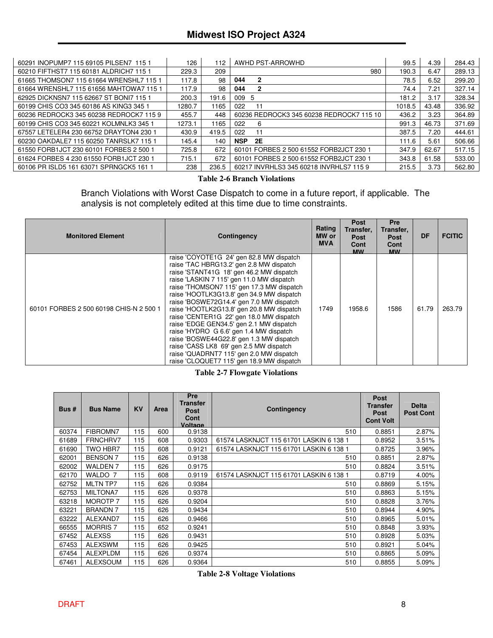#### **Midwest ISO Project A324**

| 60291 INOPUMP7 115 69105 PILSEN7 115 1  | 126    | 112   | AWHD PST-ARROWHD                         | 99.5   | 4.39  | 284.43 |
|-----------------------------------------|--------|-------|------------------------------------------|--------|-------|--------|
| 60210 FIFTHST7 115 60181 ALDRICH7 115 1 | 229.3  | 209   | 980                                      | 190.3  | 6.47  | 289.13 |
| 61665 THOMSON7 115 61664 WRENSHL7 115 1 | 117.8  | 98    | 044<br>2                                 | 78.5   | 6.52  | 299.20 |
| 61664 WRENSHL7 115 61656 MAHTOWA7 115 1 | 117.9  | 98    | 044<br>2                                 | 74.4   | 7.21  | 327.14 |
| 62925 DICKNSN7 115 62667 ST BONI7 115 1 | 200.3  | 191.6 | 009 5                                    | 181.2  | 3.17  | 328.34 |
| 60199 CHIS CO3 345 60186 AS KING3 345 1 | 1280.7 | 1165  | 022<br>11                                | 1018.5 | 43.48 | 336.92 |
| 60236 REDROCK3 345 60238 REDROCK7 115 9 | 455.7  | 448   | 60236 REDROCK3 345 60238 REDROCK7 115 10 | 436.2  | 3.23  | 364.89 |
| 60199 CHIS CO3 345 60221 KOLMNLK3 345 1 | 1273.1 | 1165  | 022<br>6                                 | 991.3  | 46.73 | 371.69 |
| 67557 LETELER4 230 66752 DRAYTON4 230 1 | 430.9  | 419.5 | 022<br>11                                | 387.5  | 7.20  | 444.61 |
| 60230 OAKDALE7 115 60250 TANRSLK7 115 1 | 145.4  | 140   | <b>2E</b><br><b>NSP</b>                  | 111.6  | 5.61  | 506.66 |
| 61550 FORB1JCT 230 60101 FORBES 2 500 1 | 725.8  | 672   | 60101 FORBES 2 500 61552 FORB2JCT 230 1  | 347.9  | 62.67 | 517.15 |
| 61624 FORBES 4 230 61550 FORB1JCT 230 1 | 715.1  | 672   | 60101 FORBES 2 500 61552 FORB2JCT 230 1  | 343.8  | 61.58 | 533.00 |
| 60106 PR ISLD5 161 63071 SPRNGCK5 161 1 | 238    | 236.5 | 60217 INVRHLS3 345 60218 INVRHLS7 115 9  | 215.5  | 3.73  | 562.80 |

#### **Table 2-6 Branch Violations**

Branch Violations with Worst Case Dispatch to come in a future report, if applicable. The analysis is not completely edited at this time due to time constraints.

| <b>Monitored Element</b>                | Contingency                                                                                                                                                                                                                                                                                                                                                                                                                                                                                                                                                                                                                                                                         | Rating<br>MW or<br><b>MVA</b> | <b>Post</b><br>Transfer,<br><b>Post</b><br>Cont<br><b>MW</b> | <b>Pre</b><br>Transfer,<br><b>Post</b><br>Cont<br><b>MW</b> | DF    | <b>FCITIC</b> |
|-----------------------------------------|-------------------------------------------------------------------------------------------------------------------------------------------------------------------------------------------------------------------------------------------------------------------------------------------------------------------------------------------------------------------------------------------------------------------------------------------------------------------------------------------------------------------------------------------------------------------------------------------------------------------------------------------------------------------------------------|-------------------------------|--------------------------------------------------------------|-------------------------------------------------------------|-------|---------------|
| 60101 FORBES 2 500 60198 CHIS-N 2 500 1 | raise 'COYOTE1G 24' gen 82.8 MW dispatch<br>raise 'TAC HBRG13.2' gen 2.8 MW dispatch<br>raise 'STANT41G 18' gen 46.2 MW dispatch<br>raise 'LASKIN 7 115' gen 11.0 MW dispatch<br>raise 'THOMSON7 115' gen 17.3 MW dispatch<br>raise 'HOOTLK3G13.8' gen 34.9 MW dispatch<br>raise 'BOSWE72G14.4' gen 7.0 MW dispatch<br>raise 'HOOTLK2G13.8' gen 20.8 MW dispatch<br>raise 'CENTER1G 22' gen 18.0 MW dispatch<br>raise 'EDGE GEN34.5' gen 2.1 MW dispatch<br>raise 'HYDRO G 6.6' gen 1.4 MW dispatch<br>raise 'BOSWE44G22.8' gen 1.3 MW dispatch<br>raise 'CASS LK8 69' gen 2.5 MW dispatch<br>raise 'QUADRNT7 115' gen 2.0 MW dispatch<br>raise 'CLOQUET7 115' gen 18.9 MW dispatch | 1749                          | 1958.6                                                       | 1586                                                        | 61.79 | 263.79        |

#### **Table 2-7 Flowgate Violations**

| Bus#  | <b>Bus Name</b> | <b>KV</b> | Area | Pre<br><b>Transfer</b><br>Post<br>Cont<br>Voltage | <b>Contingency</b>                      | <b>Post</b><br><b>Transfer</b><br><b>Post</b><br><b>Cont Volt</b> | <b>Delta</b><br><b>Post Cont</b> |
|-------|-----------------|-----------|------|---------------------------------------------------|-----------------------------------------|-------------------------------------------------------------------|----------------------------------|
| 60374 | FIBROMN7        | 115       | 600  | 0.9138                                            | 510                                     | 0.8851                                                            | 2.87%                            |
| 61689 | FRNCHRV7        | 115       | 608  | 0.9303                                            | 61574 LASKNJCT 115 61701 LASKIN 6 138 1 | 0.8952                                                            | 3.51%                            |
| 61690 | <b>TWO HBR7</b> | 115       | 608  | 0.9121                                            | 61574 LASKNJCT 115 61701 LASKIN 6 138 1 | 0.8725                                                            | 3.96%                            |
| 62001 | <b>BENSON 7</b> | 115       | 626  | 0.9138                                            | 510                                     | 0.8851                                                            | 2.87%                            |
| 62002 | <b>WALDEN 7</b> | 115       | 626  | 0.9175                                            | 510                                     | 0.8824                                                            | 3.51%                            |
| 62170 | WALDO 7         | 115       | 608  | 0.9119                                            | 61574 LASKNJCT 115 61701 LASKIN 6 138 1 | 0.8719                                                            | 4.00%                            |
| 62752 | <b>MLTN TP7</b> | 115       | 626  | 0.9384                                            | 510                                     | 0.8869                                                            | 5.15%                            |
| 62753 | <b>MILTONA7</b> | 115       | 626  | 0.9378                                            | 510                                     | 0.8863                                                            | 5.15%                            |
| 63218 | <b>MOROTP 7</b> | 115       | 626  | 0.9204                                            | 510                                     | 0.8828                                                            | 3.76%                            |
| 63221 | <b>BRANDN7</b>  | 115       | 626  | 0.9434                                            | 510                                     | 0.8944                                                            | 4.90%                            |
| 63222 | ALEXAND7        | 115       | 626  | 0.9466                                            | 510                                     | 0.8965                                                            | 5.01%                            |
| 66555 | <b>MORRIS 7</b> | 115       | 652  | 0.9241                                            | 510                                     | 0.8848                                                            | 3.93%                            |
| 67452 | <b>ALEXSS</b>   | 115       | 626  | 0.9431                                            | 510                                     | 0.8928                                                            | 5.03%                            |
| 67453 | <b>ALEXSWM</b>  | 115       | 626  | 0.9425                                            | 510                                     | 0.8921                                                            | 5.04%                            |
| 67454 | <b>ALEXPLDM</b> | 115       | 626  | 0.9374                                            | 510                                     | 0.8865                                                            | 5.09%                            |
| 67461 | <b>ALEXSOUM</b> | 115       | 626  | 0.9364                                            | 510                                     | 0.8855                                                            | 5.09%                            |

**Table 2-8 Voltage Violations**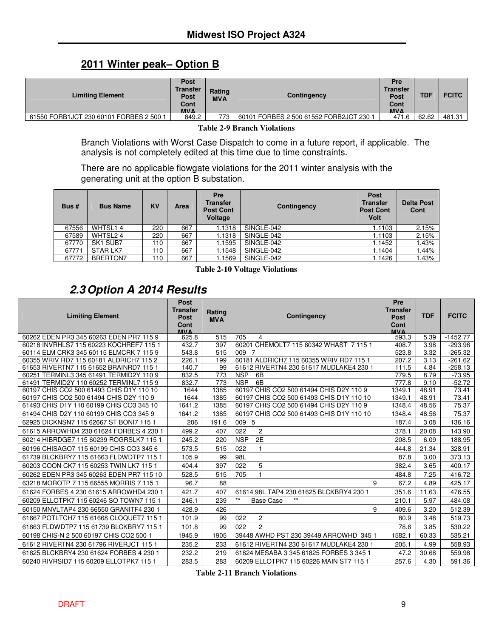## **2011 Winter peak– Option B**

| <b>Limiting Element</b>                 | <b>Post</b><br><b>Transfer</b><br>Rating<br><b>Post</b><br><b>MVA</b><br>Cont<br><b>MVA</b> |     | Contingency                             | Pre<br><b>Transfer</b><br>Post<br>Cont<br><b>MVA</b> | TDF   | <b>FCITC</b> |
|-----------------------------------------|---------------------------------------------------------------------------------------------|-----|-----------------------------------------|------------------------------------------------------|-------|--------------|
| 61550 FORB1JCT 230 60101 FORBES 2 500 1 | 849.2                                                                                       | 773 | 60101 FORBES 2 500 61552 FORB2JCT 230 1 | 471.6                                                | 62.62 | 481.31       |

**Table 2-9 Branch Violations**

Branch Violations with Worst Case Dispatch to come in a future report, if applicable. The analysis is not completely edited at this time due to time constraints.

There are no applicable flowgate violations for the 2011 winter analysis with the generating unit at the option B substation.

| Bus#  | <b>Bus Name</b> | <b>KV</b> | Area | Pre<br><b>Transfer</b><br><b>Post Cont</b><br>Voltage | Contingency | Post<br><b>Transfer</b><br><b>Post Cont</b><br><b>Volt</b> | <b>Delta Post</b><br>Cont |
|-------|-----------------|-----------|------|-------------------------------------------------------|-------------|------------------------------------------------------------|---------------------------|
| 67556 | WHTSL14         | 220       | 667  | 1.1318                                                | SINGLE-042  | 1.1103                                                     | 2.15%                     |
| 67589 | WHTSL24         | 220       | 667  | 1.1318                                                | SINGLE-042  | 1.1103                                                     | 2.15%                     |
| 67770 | SK1 SUB7        | 110       | 667  | 1.1595                                                | SINGLE-042  | 1.1452                                                     | 1.43%                     |
| 67771 | STAR LK7        | 110       | 667  | 1.1548                                                | SINGLE-042  | 1.1404                                                     | 1.44%                     |
| 67772 | <b>BRERTON7</b> | $110 -$   | 667  | l.1569                                                | SINGLE-042  | 1.1426                                                     | <b>.43%</b>               |

**Table 2-10 Voltage Violations**

# *2.3Option A 2014 Results*

|                                                                                     | <b>Post</b><br><b>Transfer</b> | Rating       |                                                                                     | Pre<br><b>Transfer</b> |                |                |
|-------------------------------------------------------------------------------------|--------------------------------|--------------|-------------------------------------------------------------------------------------|------------------------|----------------|----------------|
| <b>Limiting Element</b>                                                             | Post<br>Cont                   | <b>MVA</b>   | Contingency                                                                         | Post<br>Cont           | <b>TDF</b>     | <b>FCITC</b>   |
|                                                                                     | <b>MVA</b>                     |              |                                                                                     | <b>MVA</b>             |                |                |
| 60262 EDEN PR3 345 60263 EDEN PR7 115 9                                             | 625.8                          | 515          | 705<br>$\overline{a}$                                                               | 593.3                  | 5.39           | $-1452.77$     |
| 60218 INVRHLS7 115 60223 KOCHREF7 115 1                                             | 432.7                          | 397          | 60201 CHEMOLT7 115 60342 WHAST 7 115 1                                              | 408.7                  | 3.98           | $-293.96$      |
| 60114 ELM CRK3 345 60115 ELMCRK 7 115 9                                             | 543.8                          | 515          | 009 7                                                                               | 523.8                  | 3.32           | $-265.32$      |
| 60355 WRIV RD7 115 60181 ALDRICH7 115 2                                             | 226.1                          | 199          | 60181 ALDRICH7 115 60355 WRIV RD7 115 1                                             | 207.2                  | 3.13           | $-261.62$      |
| 61653 RIVERTN7 115 61652 BRAINRD7 115 1                                             | 140.7                          | 99           | 61612 RIVERTN4 230 61617 MUDLAKE4 230 1                                             | 111.5                  | 4.84           | $-258.13$      |
| 60251 TERMINL3 345 61491 TERMID2Y 110 9                                             | 832.5                          | 773          | <b>NSP</b><br>6B                                                                    | 779.5                  | 8.79           | $-73.95$       |
| 61491 TERMID2Y 110 60252 TERMINL7 115 9                                             | 832.7                          | 773          | <b>NSP</b><br>6B                                                                    | 777.8                  | 9.10           | $-52.72$       |
| 60197 CHIS CO2 500 61493 CHIS D1Y 110 10<br>60197 CHIS CO2 500 61494 CHIS D2Y 110 9 | 1644<br>1644                   | 1385<br>1385 | 60197 CHIS CO2 500 61494 CHIS D2Y 110 9<br>60197 CHIS CO2 500 61493 CHIS D1Y 110 10 | 1349.1<br>1349.1       | 48.91<br>48.91 | 73.41<br>73.41 |
| 61493 CHIS D1Y 110 60199 CHIS CO3 345 10                                            | 1641.2                         | 1385         | 60197 CHIS CO2 500 61494 CHIS D2Y 110 9                                             | 1348.4                 | 48.56          | 75.37          |
| 61494 CHIS D2Y 110 60199 CHIS CO3 345 9                                             | 1641.2                         | 1385         | 60197 CHIS CO2 500 61493 CHIS D1Y 110 10                                            | 1348.4                 | 48.56          | 75.37          |
| 62925 DICKNSN7 115 62667 ST BONI7 115 1                                             | 206                            | 191.6        | 009 5                                                                               | 187.4                  | 3.08           | 136.16         |
| 61615 ARROWHD4 230 61624 FORBES 4 230 1                                             | 499.2                          | 407          | 2<br>022                                                                            | 378.1                  | 20.08          | 143.90         |
| 60214 HIBRDGE7 115 60239 ROGRSLK7 115 1                                             | 245.2                          | 220          | 2E<br><b>NSP</b>                                                                    | 208.5                  | 6.09           | 188.95         |
| 60196 CHISAGO7 115 60199 CHIS CO3 345 6                                             | 573.5                          | 515          | 022                                                                                 | 444.8                  | 21.34          | 328.91         |
| 61739 BLCKBRY7 115 61663 FLDWDTP7 115 1                                             | 105.9                          | 99           | 98L                                                                                 | 87.8                   | 3.00           | 373.13         |
| 60203 COON CK7 115 60253 TWIN LK7 115 1                                             | 404.4                          | 397          | 5<br>022                                                                            | 382.4                  | 3.65           | 400.17         |
| 60262 EDEN PR3 345 60263 EDEN PR7 115 10                                            | 528.5                          | 515          | 705                                                                                 | 484.8                  | 7.25           | 416.72         |
| 63218 MOROTP 7 115 66555 MORRIS 7 115 1                                             | 96.7                           | 88           | 9                                                                                   | 67.2                   | 4.89           | 425.17         |
| 61624 FORBES 4 230 61615 ARROWHD4 230 1                                             | 421.7                          | 407          | 61614 98L TAP4 230 61625 BLCKBRY4 230 1                                             | 351.6                  | 11.63          | 476.55         |
| 60209 ELLOTPK7 115 60246 SO TOWN7 115 1                                             | 246.1                          | 239          | $***$<br>$***$<br><b>Base Case</b>                                                  | 210.1                  | 5.97           | 484.08         |
| 60150 MNVLTAP4 230 66550 GRANITF4 230 1                                             | 428.9                          | 426          | 9                                                                                   | 409.6                  | 3.20           | 512.39         |
| 61667 POTLTCH7 115 61668 CLOQUET7 115 1                                             | 101.9                          | 99           | $\overline{2}$<br>022                                                               | 80.9                   | 3.48           | 519.73         |
| 61663 FLDWDTP7 115 61739 BLCKBRY7 115 1                                             | 101.8                          | 99           | $\overline{c}$<br>022                                                               | 78.6                   | 3.85           | 530.22         |
| 60198 CHIS-N 2 500 60197 CHIS CO2 500 1                                             | 1945.9                         | 1905         | 39448 AWHD PST 230 39449 ARROWHD 345 1                                              | 1582.1                 | 60.33          | 535.21         |
| 61612 RIVERTN4 230 61796 RIVERJCT 115 1                                             | 235.2                          | 233          | 61612 RIVERTN4 230 61617 MUDLAKE4 230 1                                             | 205.1                  | 4.99           | 558.93         |
| 61625 BLCKBRY4 230 61624 FORBES 4 230 1                                             | 232.2                          | 219          | 61824 MESABA 3 345 61825 FORBES 3 345 1                                             | 47.2                   | 30.68          | 559.98         |
| 60240 RIVRSID7 115 60209 ELLOTPK7 115 1                                             | 283.5                          | 283          | 60209 ELLOTPK7 115 60226 MAIN ST7 115 1                                             | 257.6                  | 4.30           | 591.36         |

**Table 2-11 Branch Violations**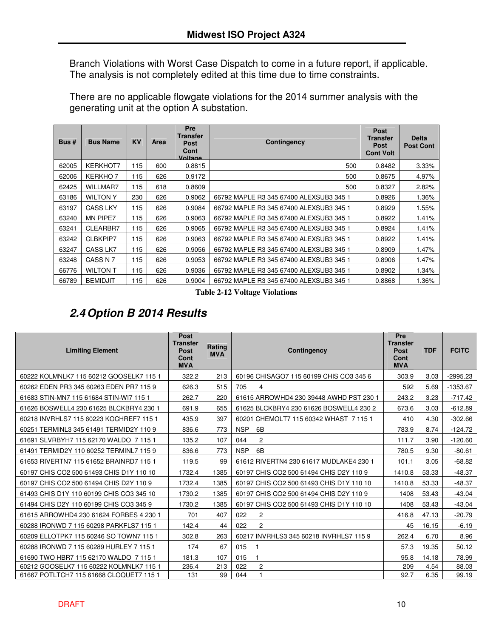Branch Violations with Worst Case Dispatch to come in a future report, if applicable. The analysis is not completely edited at this time due to time constraints.

There are no applicable flowgate violations for the 2014 summer analysis with the generating unit at the option A substation.

| Bus#  | <b>Bus Name</b> | <b>KV</b> | <b>Area</b> | Pre<br>Transfer<br><b>Post</b><br>Cont<br>Voltage | Contingency                             | <b>Post</b><br><b>Transfer</b><br><b>Post</b><br><b>Cont Volt</b> | <b>Delta</b><br><b>Post Cont</b> |
|-------|-----------------|-----------|-------------|---------------------------------------------------|-----------------------------------------|-------------------------------------------------------------------|----------------------------------|
| 62005 | <b>KERKHOT7</b> | 115       | 600         | 0.8815                                            | 500                                     | 0.8482                                                            | 3.33%                            |
| 62006 | <b>KERKHO7</b>  | 115       | 626         | 0.9172                                            | 500                                     | 0.8675                                                            | 4.97%                            |
| 62425 | <b>WILLMAR7</b> | 115       | 618         | 0.8609                                            | 500                                     | 0.8327                                                            | 2.82%                            |
| 63186 | <b>WILTON Y</b> | 230       | 626         | 0.9062                                            | 66792 MAPLE R3 345 67400 ALEXSUB3 345 1 | 0.8926                                                            | 1.36%                            |
| 63197 | <b>CASS LKY</b> | 115       | 626         | 0.9084                                            | 66792 MAPLE R3 345 67400 ALEXSUB3 345 1 | 0.8929                                                            | 1.55%                            |
| 63240 | <b>MN PIPE7</b> | 115       | 626         | 0.9063                                            | 66792 MAPLE R3 345 67400 ALEXSUB3 345 1 | 0.8922                                                            | 1.41%                            |
| 63241 | CLEARBR7        | 115       | 626         | 0.9065                                            | 66792 MAPLE R3 345 67400 ALEXSUB3 345 1 | 0.8924                                                            | 1.41%                            |
| 63242 | CLBKPIP7        | 115       | 626         | 0.9063                                            | 66792 MAPLE R3 345 67400 ALEXSUB3 345 1 | 0.8922                                                            | 1.41%                            |
| 63247 | CASS LK7        | 115       | 626         | 0.9056                                            | 66792 MAPLE R3 345 67400 ALEXSUB3 345 1 | 0.8909                                                            | 1.47%                            |
| 63248 | CASS N 7        | 115       | 626         | 0.9053                                            | 66792 MAPLE R3 345 67400 ALEXSUB3 345 1 | 0.8906                                                            | 1.47%                            |
| 66776 | <b>WILTON T</b> | 115       | 626         | 0.9036                                            | 66792 MAPLE R3 345 67400 ALEXSUB3 345 1 | 0.8902                                                            | 1.34%                            |
| 66789 | <b>BEMIDJIT</b> | 115       | 626         | 0.9004                                            | 66792 MAPLE R3 345 67400 ALEXSUB3 345 1 | 0.8868                                                            | 1.36%                            |

**Table 2-12 Voltage Violations**

## *2.4Option B 2014 Results*

| <b>Limiting Element</b>                  | <b>Post</b><br><b>Transfer</b><br><b>Post</b><br>Cont<br><b>MVA</b> | Rating<br><b>MVA</b> | Contingency                              | Pre<br><b>Transfer</b><br><b>Post</b><br>Cont<br><b>MVA</b> | <b>TDF</b> | <b>FCITC</b> |
|------------------------------------------|---------------------------------------------------------------------|----------------------|------------------------------------------|-------------------------------------------------------------|------------|--------------|
| 60222 KOLMNLK7 115 60212 GOOSELK7 115 1  | 322.2                                                               | 213                  | 60196 CHISAGO7 115 60199 CHIS CO3 345 6  | 303.9                                                       | 3.03       | $-2995.23$   |
| 60262 EDEN PR3 345 60263 EDEN PR7 115 9  | 626.3                                                               | 515                  | 705<br>4                                 | 592                                                         | 5.69       | $-1353.67$   |
| 61683 STIN-MN7 115 61684 STIN-WI7 115 1  | 262.7                                                               | 220                  | 61615 ARROWHD4 230 39448 AWHD PST 230 1  | 243.2                                                       | 3.23       | $-717.42$    |
| 61626 BOSWELL4 230 61625 BLCKBRY4 230 1  | 691.9                                                               | 655                  | 61625 BLCKBRY4 230 61626 BOSWELL4 230 2  | 673.6                                                       | 3.03       | $-612.89$    |
| 60218 INVRHLS7 115 60223 KOCHREF7 115 1  | 435.9                                                               | 397                  | 60201 CHEMOLT7 115 60342 WHAST 7 115 1   | 410                                                         | 4.30       | $-302.66$    |
| 60251 TERMINL3 345 61491 TERMID2Y 110 9  | 836.6                                                               | 773                  | <b>NSP</b><br>6B                         | 783.9                                                       | 8.74       | $-124.72$    |
| 61691 SLVRBYH7 115 62170 WALDO 7 115 1   | 135.2                                                               | 107                  | $\overline{2}$<br>044                    | 111.7                                                       | 3.90       | $-120.60$    |
| 61491 TERMID2Y 110 60252 TERMINL7 115 9  | 836.6                                                               | 773                  | 6B<br><b>NSP</b>                         | 780.5                                                       | 9.30       | $-80.61$     |
| 61653 RIVERTN7 115 61652 BRAINRD7 115 1  | 119.5                                                               | 99                   | 61612 RIVERTN4 230 61617 MUDLAKE4 230 1  | 101.1                                                       | 3.05       | $-68.82$     |
| 60197 CHIS CO2 500 61493 CHIS D1Y 110 10 | 1732.4                                                              | 1385                 | 60197 CHIS CO2 500 61494 CHIS D2Y 110 9  | 1410.8                                                      | 53.33      | $-48.37$     |
| 60197 CHIS CO2 500 61494 CHIS D2Y 110 9  | 1732.4                                                              | 1385                 | 60197 CHIS CO2 500 61493 CHIS D1Y 110 10 | 1410.8                                                      | 53.33      | $-48.37$     |
| 61493 CHIS D1Y 110 60199 CHIS CO3 345 10 | 1730.2                                                              | 1385                 | 60197 CHIS CO2 500 61494 CHIS D2Y 110 9  | 1408                                                        | 53.43      | $-43.04$     |
| 61494 CHIS D2Y 110 60199 CHIS CO3 345 9  | 1730.2                                                              | 1385                 | 60197 CHIS CO2 500 61493 CHIS D1Y 110 10 | 1408                                                        | 53.43      | $-43.04$     |
| 61615 ARROWHD4 230 61624 FORBES 4 230 1  | 701                                                                 | 407                  | $\overline{2}$<br>022                    | 416.8                                                       | 47.13      | $-20.79$     |
| 60288 IRONWD 7 115 60298 PARKFLS7 115 1  | 142.4                                                               | 44                   | $\overline{2}$<br>022                    | 45                                                          | 16.15      | $-6.19$      |
| 60209 ELLOTPK7 115 60246 SO TOWN7 115 1  | 302.8                                                               | 263                  | 60217 INVRHLS3 345 60218 INVRHLS7 115 9  | 262.4                                                       | 6.70       | 8.96         |
| 60288 IRONWD 7 115 60289 HURLEY 7 115 1  | 174                                                                 | 67                   | 015<br>1                                 | 57.3                                                        | 19.35      | 50.12        |
| 61690 TWO HBR7 115 62170 WALDO 7 115 1   | 181.3                                                               | 107                  | 015<br>$\overline{1}$                    | 95.8                                                        | 14.18      | 78.99        |
| 60212 GOOSELK7 115 60222 KOLMNLK7 115 1  | 236.4                                                               | 213                  | $\overline{2}$<br>022                    | 209                                                         | 4.54       | 88.03        |
| 61667 POTLTCH7 115 61668 CLOQUET7 115 1  | 131                                                                 | 99                   | 044                                      | 92.7                                                        | 6.35       | 99.19        |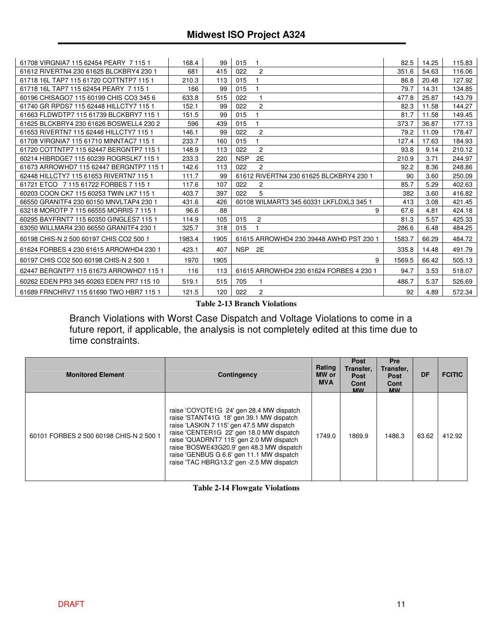| 61708 VIRGNIA7 115 62454 PEARY 7 115 1   | 168.4  | 99   | 015                                     | 82.5   | 14.25 | 115.83 |
|------------------------------------------|--------|------|-----------------------------------------|--------|-------|--------|
| 61612 RIVERTN4 230 61625 BLCKBRY4 230 1  | 681    | 415  | 022<br>$\overline{2}$                   | 351.6  | 54.63 | 116.06 |
| 61718 16L TAP7 115 61720 COTTNTP7 115 1  | 210.3  | 113  | 015                                     | 86.8   | 20.48 | 127.92 |
| 61718 16L TAP7 115 62454 PEARY 7 115 1   | 166    | 99   | 015<br>1                                | 79.7   | 14.31 | 134.85 |
| 60196 CHISAGO7 115 60199 CHIS CO3 345 6  | 633.8  | 515  | 022<br>1                                | 477.8  | 25.87 | 143.79 |
| 61740 GR RPDS7 115 62448 HILLCTY7 115 1  | 152.1  | 99   | 022<br>$\overline{2}$                   | 82.3   | 11.58 | 144.27 |
| 61663 FLDWDTP7 115 61739 BLCKBRY7 115 1  | 151.5  | 99   | 015                                     | 81.7   | 11.58 | 149.45 |
| 61625 BLCKBRY4 230 61626 BOSWELL4 230 2  | 596    | 439  | 015<br>1                                | 373.7  | 36.87 | 177.13 |
| 61653 RIVERTN7 115 62448 HILLCTY7 115 1  | 146.1  | 99   | $\overline{2}$<br>022                   | 79.2   | 11.09 | 178.47 |
| 61708 VIRGNIA7 115 61710 MINNTAC7 115 1  | 233.7  | 160  | 015                                     | 127.4  | 17.63 | 184.93 |
| 61720 COTTNTP7 115 62447 BERGNTP7 115 1  | 148.9  | 113  | $\mathbf{2}$<br>022                     | 93.8   | 9.14  | 210.12 |
| 60214 HIBRDGE7 115 60239 ROGRSLK7 115 1  | 233.3  | 220  | 2E<br><b>NSP</b>                        | 210.9  | 3.71  | 244.97 |
| 61673 ARROWHD7 115 62447 BERGNTP7 115 1  | 142.6  | 113  | $\overline{2}$<br>022                   | 92.2   | 8.36  | 248.86 |
| 62448 HILLCTY7 115 61653 RIVERTN7 115 1  | 111.7  | 99   | 61612 RIVERTN4 230 61625 BLCKBRY4 230 1 | 90     | 3.60  | 250.09 |
| 61721 ETCO 7 115 61722 FORBES 7 115 1    | 117.6  | 107  | 022<br>$\overline{c}$                   | 85.7   | 5.29  | 402.63 |
| 60203 COON CK7 115 60253 TWIN LK7 115 1  | 403.7  | 397  | 5<br>022                                | 382    | 3.60  | 416.82 |
| 66550 GRANITF4 230 60150 MNVLTAP4 230 1  | 431.6  | 426  | 60108 WILMART3 345 60331 LKFLDXL3 345 1 | 413    | 3.08  | 421.45 |
| 63218 MOROTP 7 115 66555 MORRIS 7 115 1  | 96.6   | 88   | 9                                       | 67.6   | 4.81  | 424.18 |
| 60295 BAYFRNT7 115 60350 GINGLES7 115 1  | 114.9  | 105  | 015<br>$\overline{c}$                   | 81.3   | 5.57  | 425.33 |
| 63050 WILLMAR4 230 66550 GRANITF4 230 1  | 325.7  | 318  | 015                                     | 286.6  | 6.48  | 484.25 |
| 60198 CHIS-N 2 500 60197 CHIS CO2 500 1  | 1983.4 | 1905 | 61615 ARROWHD4 230 39448 AWHD PST 230 1 | 1583.7 | 66.29 | 484.72 |
| 61624 FORBES 4 230 61615 ARROWHD4 230 1  | 423.1  | 407  | NSP <sub>2E</sub>                       | 335.8  | 14.48 | 491.79 |
| 60197 CHIS CO2 500 60198 CHIS-N 2 500 1  | 1970   | 1905 | 9                                       | 1569.5 | 66.42 | 505.13 |
| 62447 BERGNTP7 115 61673 ARROWHD7 115 1  | 116    | 113  | 61615 ARROWHD4 230 61624 FORBES 4 230 1 | 94.7   | 3.53  | 518.07 |
| 60262 EDEN PR3 345 60263 EDEN PR7 115 10 | 519.1  | 515  | 705                                     | 486.7  | 5.37  | 526.69 |
| 61689 FRNCHRV7 115 61690 TWO HBR7 115 1  | 121.5  | 120  | $\overline{2}$<br>022                   | 92     | 4.89  | 572.34 |

**Table 2-13 Branch Violations**

Branch Violations with Worst Case Dispatch and Voltage Violations to come in a future report, if applicable, the analysis is not completely edited at this time due to time constraints.

| <b>Monitored Element</b>                | <b>Contingency</b>                                                                                                                                                                                                                                                                                                                                               | Rating<br>MW or<br><b>MVA</b> | <b>Post</b><br>Transfer.<br><b>Post</b><br>Cont<br><b>MW</b> | <b>Pre</b><br>Transfer,<br><b>Post</b><br>Cont<br><b>MW</b> | DF    | <b>FCITIC</b> |
|-----------------------------------------|------------------------------------------------------------------------------------------------------------------------------------------------------------------------------------------------------------------------------------------------------------------------------------------------------------------------------------------------------------------|-------------------------------|--------------------------------------------------------------|-------------------------------------------------------------|-------|---------------|
| 60101 FORBES 2 500 60198 CHIS-N 2 500 1 | raise 'COYOTE1G 24' gen 28.4 MW dispatch<br>raise 'STANT41G 18' gen 39.1 MW dispatch<br>raise 'LASKIN 7 115' gen 47.5 MW dispatch<br>raise 'CENTER1G 22' gen 18.0 MW dispatch<br>raise 'QUADRNT7 115' gen 2.0 MW dispatch<br>raise 'BOSWE43G20.9' gen 48.3 MW dispatch<br>raise 'GENBUS G 6.6' gen 11.1 MW dispatch<br>raise 'TAC HBRG13.2' gen -2.5 MW dispatch | 1749.0                        | 1869.9                                                       | 1486.3                                                      | 63.62 | 412.92        |

**Table 2-14 Flowgate Violations**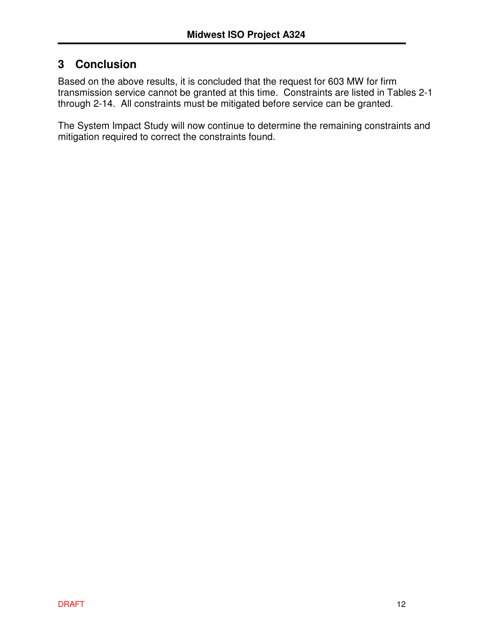## **3 Conclusion**

Based on the above results, it is concluded that the request for 603 MW for firm transmission service cannot be granted at this time. Constraints are listed in Tables 2-1 through 2-14. All constraints must be mitigated before service can be granted.

The System Impact Study will now continue to determine the remaining constraints and mitigation required to correct the constraints found.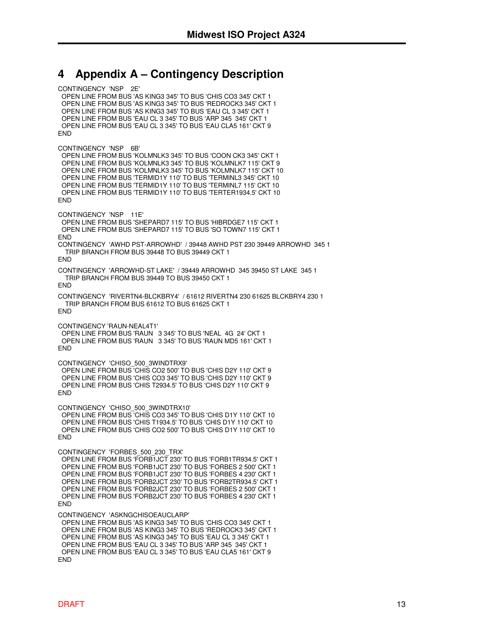#### **4 Appendix A – Contingency Description**

CONTINGENCY 'NSP 2E' OPEN LINE FROM BUS 'AS KING3 345' TO BUS 'CHIS CO3 345' CKT 1 OPEN LINE FROM BUS 'AS KING3 345' TO BUS 'REDROCK3 345' CKT 1 OPEN LINE FROM BUS 'AS KING3 345' TO BUS 'EAU CL 3 345' CKT 1 OPEN LINE FROM BUS 'EAU CL 3 345' TO BUS 'ARP 345 345' CKT 1 OPEN LINE FROM BUS 'EAU CL 3 345' TO BUS 'EAU CLA5 161' CKT 9 **FND** CONTINGENCY 'NSP 6B' OPEN LINE FROM BUS 'KOLMNLK3 345' TO BUS 'COON CK3 345' CKT 1 OPEN LINE FROM BUS 'KOLMNLK3 345' TO BUS 'KOLMNLK7 115' CKT 9 OPEN LINE FROM BUS 'KOLMNLK3 345' TO BUS 'KOLMNLK7 115' CKT 10 OPEN LINE FROM BUS 'TERMID1Y 110' TO BUS 'TERMINL3 345' CKT 10 OPEN LINE FROM BUS 'TERMID1Y 110' TO BUS 'TERMINL7 115' CKT 10 OPEN LINE FROM BUS 'TERMID1Y 110' TO BUS 'TERTER1934.5' CKT 10 **FND** CONTINGENCY 'NSP 11E' OPEN LINE FROM BUS 'SHEPARD7 115' TO BUS 'HIBRDGE7 115' CKT 1 OPEN LINE FROM BUS 'SHEPARD7 115' TO BUS 'SO TOWN7 115' CKT 1 END CONTINGENCY 'AWHD PST-ARROWHD' / 39448 AWHD PST 230 39449 ARROWHD 345 1 TRIP BRANCH FROM BUS 39448 TO BUS 39449 CKT 1 END CONTINGENCY 'ARROWHD-ST LAKE' / 39449 ARROWHD 345 39450 ST LAKE 345 1 TRIP BRANCH FROM BUS 39449 TO BUS 39450 CKT 1 **FND** CONTINGENCY 'RIVERTN4-BLCKBRY4' / 61612 RIVERTN4 230 61625 BLCKBRY4 230 1 TRIP BRANCH FROM BUS 61612 TO BUS 61625 CKT 1 END CONTINGENCY 'RAUN-NEAL4T1' OPEN LINE FROM BUS 'RAUN 3 345' TO BUS 'NEAL 4G 24' CKT 1 OPEN LINE FROM BUS 'RAUN 3 345' TO BUS 'RAUN MD5 161' CKT 1 END CONTINGENCY 'CHISO\_500\_3WINDTRX9' OPEN LINE FROM BUS 'CHIS CO2 500' TO BUS 'CHIS D2Y 110' CKT 9 OPEN LINE FROM BUS 'CHIS CO3 345' TO BUS 'CHIS D2Y 110' CKT 9 OPEN LINE FROM BUS 'CHIS T2934.5' TO BUS 'CHIS D2Y 110' CKT 9 END CONTINGENCY 'CHISO\_500\_3WINDTRX10' OPEN LINE FROM BUS 'CHIS CO3 345' TO BUS 'CHIS D1Y 110' CKT 10 OPEN LINE FROM BUS 'CHIS T1934.5' TO BUS 'CHIS D1Y 110' CKT 10 OPEN LINE FROM BUS 'CHIS CO2 500' TO BUS 'CHIS D1Y 110' CKT 10 END CONTINGENCY 'FORBES\_500\_230\_TRX' OPEN LINE FROM BUS 'FORB1JCT 230' TO BUS 'FORB1TR934.5' CKT 1 OPEN LINE FROM BUS 'FORB1JCT 230' TO BUS 'FORBES 2 500' CKT 1 OPEN LINE FROM BUS 'FORB1JCT 230' TO BUS 'FORBES 4 230' CKT 1 OPEN LINE FROM BUS 'FORB2JCT 230' TO BUS 'FORB2TR934.5' CKT 1 OPEN LINE FROM BUS 'FORB2JCT 230' TO BUS 'FORBES 2 500' CKT 1 OPEN LINE FROM BUS 'FORB2JCT 230' TO BUS 'FORBES 4 230' CKT 1 **FND** CONTINGENCY 'ASKNGCHISOEAUCLARP' OPEN LINE FROM BUS 'AS KING3 345' TO BUS 'CHIS CO3 345' CKT 1 OPEN LINE FROM BUS 'AS KING3 345' TO BUS 'REDROCK3 345' CKT 1 OPEN LINE FROM BUS 'AS KING3 345' TO BUS 'EAU CL 3 345' CKT 1 OPEN LINE FROM BUS 'EAU CL 3 345' TO BUS 'ARP 345 345' CKT 1 OPEN LINE FROM BUS 'EAU CL 3 345' TO BUS 'EAU CLA5 161' CKT 9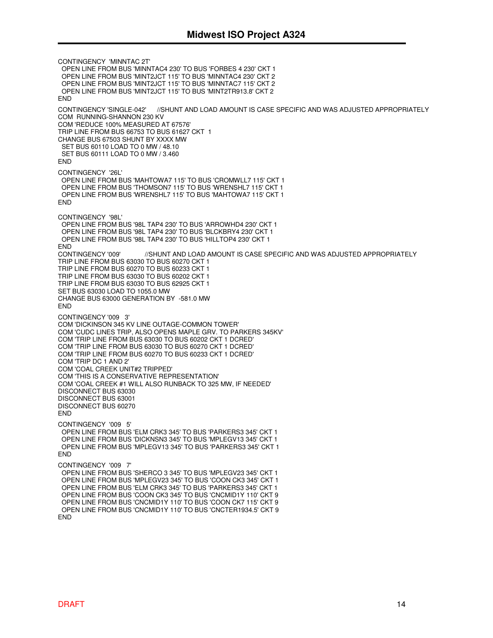CONTINGENCY 'MINNTAC 2T' OPEN LINE FROM BUS 'MINNTAC4 230' TO BUS 'FORBES 4 230' CKT 1 OPEN LINE FROM BUS 'MINT2JCT 115' TO BUS 'MINNTAC4 230' CKT 2 OPEN LINE FROM BUS 'MINT2JCT 115' TO BUS 'MINNTAC7 115' CKT 2 OPEN LINE FROM BUS 'MINT2JCT 115' TO BUS 'MINT2TR913.8' CKT 2 END CONTINGENCY 'SINGLE-042' //SHUNT AND LOAD AMOUNT IS CASE SPECIFIC AND WAS ADJUSTED APPROPRIATELY COM RUNNING-SHANNON 230 KV COM 'REDUCE 100% MEASURED AT 67576' TRIP LINE FROM BUS 66753 TO BUS 61627 CKT 1 CHANGE BUS 67503 SHUNT BY XXXX MW SET BUS 60110 LOAD TO 0 MW / 48.10 SET BUS 60111 LOAD TO 0 MW / 3.460 **FND** CONTINGENCY '26L' OPEN LINE FROM BUS 'MAHTOWA7 115' TO BUS 'CROMWLL7 115' CKT 1 OPEN LINE FROM BUS 'THOMSON7 115' TO BUS 'WRENSHL7 115' CKT 1 OPEN LINE FROM BUS 'WRENSHL7 115' TO BUS 'MAHTOWA7 115' CKT 1 **END** CONTINGENCY '98L' OPEN LINE FROM BUS '98L TAP4 230' TO BUS 'ARROWHD4 230' CKT 1 OPEN LINE FROM BUS '98L TAP4 230' TO BUS 'BLCKBRY4 230' CKT 1 OPEN LINE FROM BUS '98L TAP4 230' TO BUS 'HILLTOP4 230' CKT 1 END CONTINGENCY '009' //SHUNT AND LOAD AMOUNT IS CASE SPECIFIC AND WAS ADJUSTED APPROPRIATELY TRIP LINE FROM BUS 63030 TO BUS 60270 CKT 1 TRIP LINE FROM BUS 60270 TO BUS 60233 CKT 1 TRIP LINE FROM BUS 63030 TO BUS 60202 CKT 1 TRIP LINE FROM BUS 63030 TO BUS 62925 CKT 1 SET BUS 63030 LOAD TO 1055.0 MW CHANGE BUS 63000 GENERATION BY -581.0 MW END CONTINGENCY '009 3' COM 'DICKINSON 345 KV LINE OUTAGE-COMMON TOWER' COM 'CUDC LINES TRIP, ALSO OPENS MAPLE GRV. TO PARKERS 345KV' COM 'TRIP LINE FROM BUS 63030 TO BUS 60202 CKT 1 DCRED' COM 'TRIP LINE FROM BUS 63030 TO BUS 60270 CKT 1 DCRED' COM 'TRIP LINE FROM BUS 60270 TO BUS 60233 CKT 1 DCRED' COM 'TRIP DC 1 AND 2' COM 'COAL CREEK UNIT#2 TRIPPED' COM 'THIS IS A CONSERVATIVE REPRESENTATION' COM 'COAL CREEK #1 WILL ALSO RUNBACK TO 325 MW, IF NEEDED' DISCONNECT BUS 63030 DISCONNECT BUS 63001 DISCONNECT BUS 60270 END CONTINGENCY '009 5' OPEN LINE FROM BUS 'ELM CRK3 345' TO BUS 'PARKERS3 345' CKT 1 OPEN LINE FROM BUS 'DICKNSN3 345' TO BUS 'MPLEGV13 345' CKT 1 OPEN LINE FROM BUS 'MPLEGV13 345' TO BUS 'PARKERS3 345' CKT 1 END CONTINGENCY '009 7' OPEN LINE FROM BUS 'SHERCO 3 345' TO BUS 'MPLEGV23 345' CKT 1 OPEN LINE FROM BUS 'MPLEGV23 345' TO BUS 'COON CK3 345' CKT 1 OPEN LINE FROM BUS 'ELM CRK3 345' TO BUS 'PARKERS3 345' CKT 1 OPEN LINE FROM BUS 'COON CK3 345' TO BUS 'CNCMID1Y 110' CKT 9 OPEN LINE FROM BUS 'CNCMID1Y 110' TO BUS 'COON CK7 115' CKT 9 OPEN LINE FROM BUS 'CNCMID1Y 110' TO BUS 'CNCTER1934.5' CKT 9 END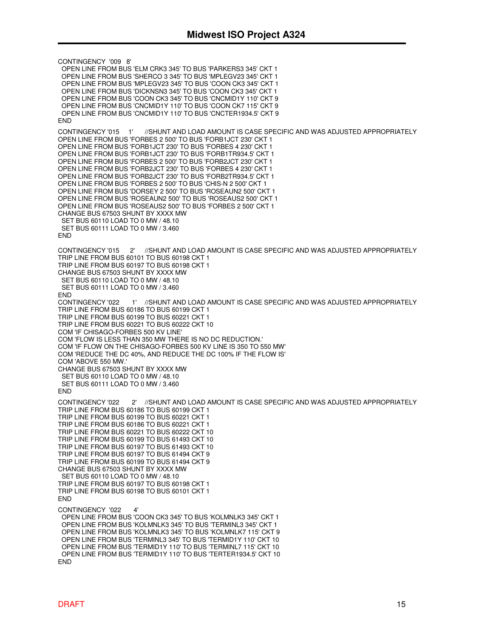CONTINGENCY '009 8' OPEN LINE FROM BUS 'ELM CRK3 345' TO BUS 'PARKERS3 345' CKT 1 OPEN LINE FROM BUS 'SHERCO 3 345' TO BUS 'MPLEGV23 345' CKT 1 OPEN LINE FROM BUS 'MPLEGV23 345' TO BUS 'COON CK3 345' CKT 1 OPEN LINE FROM BUS 'DICKNSN3 345' TO BUS 'COON CK3 345' CKT 1 OPEN LINE FROM BUS 'COON CK3 345' TO BUS 'CNCMID1Y 110' CKT 9 OPEN LINE FROM BUS 'CNCMID1Y 110' TO BUS 'COON CK7 115' CKT 9 OPEN LINE FROM BUS 'CNCMID1Y 110' TO BUS 'CNCTER1934.5' CKT 9 **FND** CONTINGENCY '015 1' //SHUNT AND LOAD AMOUNT IS CASE SPECIFIC AND WAS ADJUSTED APPROPRIATELY OPEN LINE FROM BUS 'FORBES 2 500' TO BUS 'FORB1JCT 230' CKT 1 OPEN LINE FROM BUS 'FORB1JCT 230' TO BUS 'FORBES 4 230' CKT 1 OPEN LINE FROM BUS 'FORB1JCT 230' TO BUS 'FORB1TR934.5' CKT 1 OPEN LINE FROM BUS 'FORBES 2 500' TO BUS 'FORB2JCT 230' CKT 1 OPEN LINE FROM BUS 'FORB2JCT 230' TO BUS 'FORBES 4 230' CKT 1 OPEN LINE FROM BUS 'FORB2JCT 230' TO BUS 'FORB2TR934.5' CKT 1 OPEN LINE FROM BUS 'FORBES 2 500' TO BUS 'CHIS-N 2 500' CKT 1 OPEN LINE FROM BUS 'DORSEY 2 500' TO BUS 'ROSEAUN2 500' CKT 1 OPEN LINE FROM BUS 'ROSEAUN2 500' TO BUS 'ROSEAUS2 500' CKT 1 OPEN LINE FROM BUS 'ROSEAUS2 500' TO BUS 'FORBES 2 500' CKT 1 CHANGE BUS 67503 SHUNT BY XXXX MW SET BUS 60110 LOAD TO 0 MW / 48.10 SET BUS 60111 LOAD TO 0 MW / 3.460 **FND** CONTINGENCY '015 2' //SHUNT AND LOAD AMOUNT IS CASE SPECIFIC AND WAS ADJUSTED APPROPRIATELY TRIP LINE FROM BUS 60101 TO BUS 60198 CKT 1 TRIP LINE FROM BUS 60197 TO BUS 60198 CKT 1 CHANGE BUS 67503 SHUNT BY XXXX MW SET BUS 60110 LOAD TO 0 MW / 48.10 SET BUS 60111 LOAD TO 0 MW / 3.460 END<br>CONTINGENCY '022 1' //SHUNT AND LOAD AMOUNT IS CASE SPECIFIC AND WAS ADJUSTED APPROPRIATELY TRIP LINE FROM BUS 60186 TO BUS 60199 CKT 1 TRIP LINE FROM BUS 60199 TO BUS 60221 CKT 1 TRIP LINE FROM BUS 60221 TO BUS 60222 CKT 10 COM 'IF CHISAGO-FORBES 500 KV LINE' COM 'FLOW IS LESS THAN 350 MW THERE IS NO DC REDUCTION.' COM 'IF FLOW ON THE CHISAGO-FORBES 500 KV LINE IS 350 TO 550 MW' COM 'REDUCE THE DC 40%, AND REDUCE THE DC 100% IF THE FLOW IS' COM 'ABOVE 550 MW.' CHANGE BUS 67503 SHUNT BY XXXX MW SET BUS 60110 LOAD TO 0 MW / 48.10 SET BUS 60111 LOAD TO 0 MW / 3.460 END CONTINGENCY '022 2' //SHUNT AND LOAD AMOUNT IS CASE SPECIFIC AND WAS ADJUSTED APPROPRIATELY TRIP LINE FROM BUS 60186 TO BUS 60199 CKT 1 TRIP LINE FROM BUS 60199 TO BUS 60221 CKT 1 TRIP LINE FROM BUS 60186 TO BUS 60221 CKT 1 TRIP LINE FROM BUS 60221 TO BUS 60222 CKT 10 TRIP LINE FROM BUS 60199 TO BUS 61493 CKT 10 TRIP LINE FROM BUS 60197 TO BUS 61493 CKT 10 TRIP LINE FROM BUS 60197 TO BUS 61494 CKT 9 TRIP LINE FROM BUS 60199 TO BUS 61494 CKT 9 CHANGE BUS 67503 SHUNT BY XXXX MW SET BUS 60110 LOAD TO 0 MW / 48.10 TRIP LINE FROM BUS 60197 TO BUS 60198 CKT 1 TRIP LINE FROM BUS 60198 TO BUS 60101 CKT 1 **FND** CONTINGENCY '022 4' OPEN LINE FROM BUS 'COON CK3 345' TO BUS 'KOLMNLK3 345' CKT 1 OPEN LINE FROM BUS 'KOLMNLK3 345' TO BUS 'TERMINL3 345' CKT 1 OPEN LINE FROM BUS 'KOLMNLK3 345' TO BUS 'KOLMNLK7 115' CKT 9 OPEN LINE FROM BUS 'TERMINL3 345' TO BUS 'TERMID1Y 110' CKT 10 OPEN LINE FROM BUS 'TERMID1Y 110' TO BUS 'TERMINL7 115' CKT 10 OPEN LINE FROM BUS 'TERMID1Y 110' TO BUS 'TERTER1934.5' CKT 10

END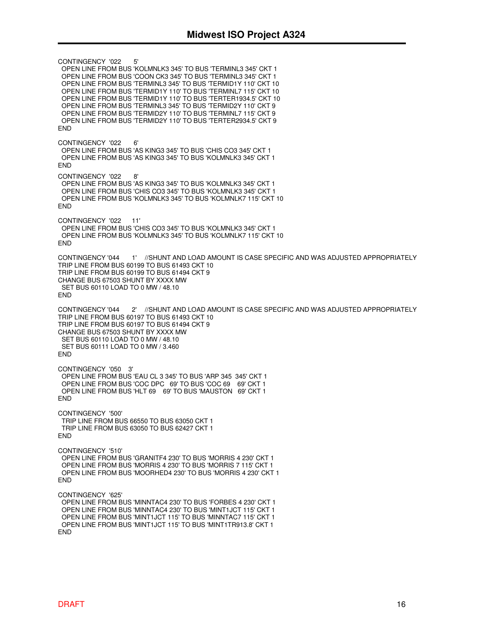CONTINGENCY '022 5' OPEN LINE FROM BUS 'KOLMNLK3 345' TO BUS 'TERMINL3 345' CKT 1 OPEN LINE FROM BUS 'COON CK3 345' TO BUS 'TERMINL3 345' CKT 1 OPEN LINE FROM BUS 'TERMINL3 345' TO BUS 'TERMID1Y 110' CKT 10 OPEN LINE FROM BUS 'TERMID1Y 110' TO BUS 'TERMINL7 115' CKT 10 OPEN LINE FROM BUS 'TERMID1Y 110' TO BUS 'TERTER1934.5' CKT 10 OPEN LINE FROM BUS 'TERMINL3 345' TO BUS 'TERMID2Y 110' CKT 9 OPEN LINE FROM BUS 'TERMID2Y 110' TO BUS 'TERMINL7 115' CKT 9 OPEN LINE FROM BUS 'TERMID2Y 110' TO BUS 'TERTER2934.5' CKT 9 END CONTINGENCY '022 6' OPEN LINE FROM BUS 'AS KING3 345' TO BUS 'CHIS CO3 345' CKT 1 OPEN LINE FROM BUS 'AS KING3 345' TO BUS 'KOLMNLK3 345' CKT 1 END CONTINGENCY '022 8' OPEN LINE FROM BUS 'AS KING3 345' TO BUS 'KOLMNLK3 345' CKT 1 OPEN LINE FROM BUS 'CHIS CO3 345' TO BUS 'KOLMNLK3 345' CKT 1 OPEN LINE FROM BUS 'KOLMNLK3 345' TO BUS 'KOLMNLK7 115' CKT 10 END CONTINGENCY '022 11' OPEN LINE FROM BUS 'CHIS CO3 345' TO BUS 'KOLMNLK3 345' CKT 1 OPEN LINE FROM BUS 'KOLMNLK3 345' TO BUS 'KOLMNLK7 115' CKT 10 END CONTINGENCY '044 1' //SHUNT AND LOAD AMOUNT IS CASE SPECIFIC AND WAS ADJUSTED APPROPRIATELY TRIP LINE FROM BUS 60199 TO BUS 61493 CKT 10 TRIP LINE FROM BUS 60199 TO BUS 61494 CKT 9 CHANGE BUS 67503 SHUNT BY XXXX MW SET BUS 60110 LOAD TO 0 MW / 48.10 **FND** CONTINGENCY '044 2' //SHUNT AND LOAD AMOUNT IS CASE SPECIFIC AND WAS ADJUSTED APPROPRIATELY TRIP LINE FROM BUS 60197 TO BUS 61493 CKT 10 TRIP LINE FROM BUS 60197 TO BUS 61494 CKT 9 CHANGE BUS 67503 SHUNT BY XXXX MW SET BUS 60110 LOAD TO 0 MW / 48.10 SET BUS 60111 LOAD TO 0 MW / 3.460 END CONTINGENCY '050 3' OPEN LINE FROM BUS 'EAU CL 3 345' TO BUS 'ARP 345 345' CKT 1 OPEN LINE FROM BUS 'COC DPC 69' TO BUS 'COC 69 69' CKT 1 OPEN LINE FROM BUS 'HLT 69 69' TO BUS 'MAUSTON 69' CKT 1 END CONTINGENCY '500' TRIP LINE FROM BUS 66550 TO BUS 63050 CKT 1 TRIP LINE FROM BUS 63050 TO BUS 62427 CKT 1 END CONTINGENCY '510' OPEN LINE FROM BUS 'GRANITF4 230' TO BUS 'MORRIS 4 230' CKT 1 OPEN LINE FROM BUS 'MORRIS 4 230' TO BUS 'MORRIS 7 115' CKT 1 OPEN LINE FROM BUS 'MOORHED4 230' TO BUS 'MORRIS 4 230' CKT 1 END CONTINGENCY '625' OPEN LINE FROM BUS 'MINNTAC4 230' TO BUS 'FORBES 4 230' CKT 1 OPEN LINE FROM BUS 'MINNTAC4 230' TO BUS 'MINT1JCT 115' CKT 1 OPEN LINE FROM BUS 'MINT1JCT 115' TO BUS 'MINNTAC7 115' CKT 1 OPEN LINE FROM BUS 'MINT1JCT 115' TO BUS 'MINT1TR913.8' CKT 1 END